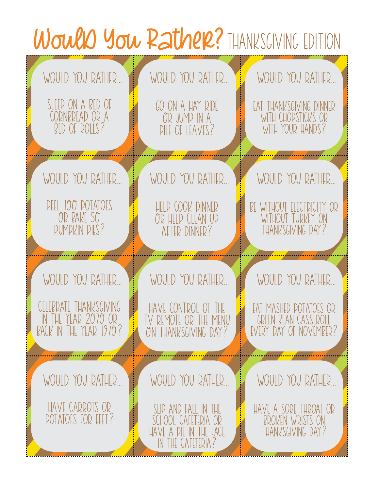## Would You Rather? THANKSGIVING EDITION WOULD YOU RATHER... SLEEP ON A BED OF CORNBREAD OR A Bed of rolls? WOULD YOU RATHER... GO ON A HAY RIDE Or jump in a Pile of leaves? WOULD YOU RATHER... Eat thanksgiving dinner WITH CHOPSTICKS OR WITH YOUR HANDS? WOULD YOU RATHER... WOULD YOU RATHER... WOULD YOU RATHER... WOULD YOU RATHER... PEEL 100 POTATOES OR BAKE 50 Pumpkin pies? WOULD YOU RATHER... Help cook dinner Or help clean up After dinner? WOULD YOU RATHER... Be without electricity or WITHOUT TURKEY ON Thanksgiving day?

LEBRATE THANKSGIVING In the year 2070 or Back in the year 1970?

WOULD YOU RATHER...

Have carrots or Potatoes for feet? WOULD YOU RATHER...

Slip and fall in the School cafeteria or Have a pie in the face In the cafeteria?

Have control of the Tv remote or the menu On thanksgiving day?

WOULD YOU RATHER...

Eat mashed potatoes or GREEN BEAN CASSEROLE EVERY DAY OF NOVEMBER?

Have a sore throat or Broken wrists on Thanksgiving day?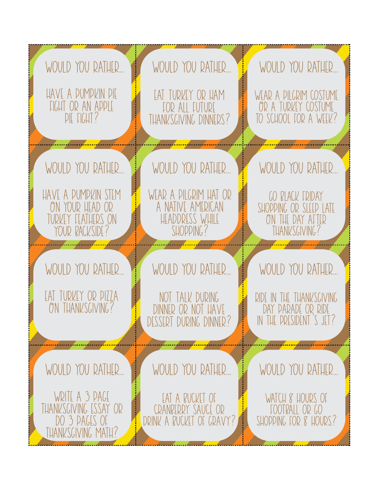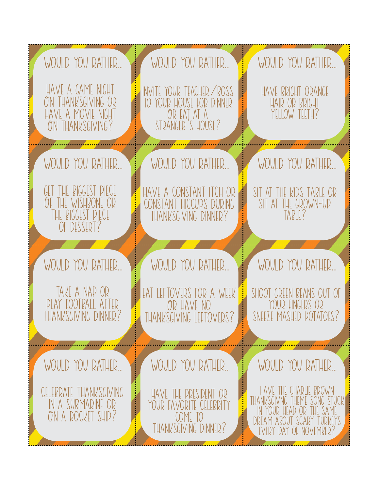